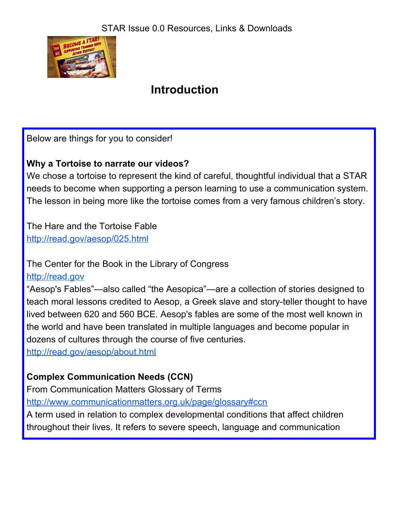

# **Introduction**

Below are things for you to consider!

#### **Why a Tortoise to narrate our videos?**

We chose a tortoise to represent the kind of careful, thoughtful individual that a STAR needs to become when supporting a person learning to use a communication system. The lesson in being more like the tortoise comes from a very famous children's story.

The Hare and the Tortoise Fable <http://read.gov/aesop/025.html>

The Center for the Book in the Library of Congress

[http://read.gov](http://read.gov/)

"Aesop's Fables"—also called "the Aesopica"—are a collection of stories designed to teach moral lessons credited to Aesop, a Greek slave and story-teller thought to have lived between 620 and 560 BCE. Aesop's fables are some of the most well known in the world and have been translated in multiple languages and become popular in dozens of cultures through the course of five centuries.

<http://read.gov/aesop/about.html>

### **Complex Communication Needs (CCN)**

From Communication Matters Glossary of Terms

<http://www.communicationmatters.org.uk/page/glossary#ccn>

A term used in relation to complex developmental conditions that affect children throughout their lives. It refers to severe speech, language and communication